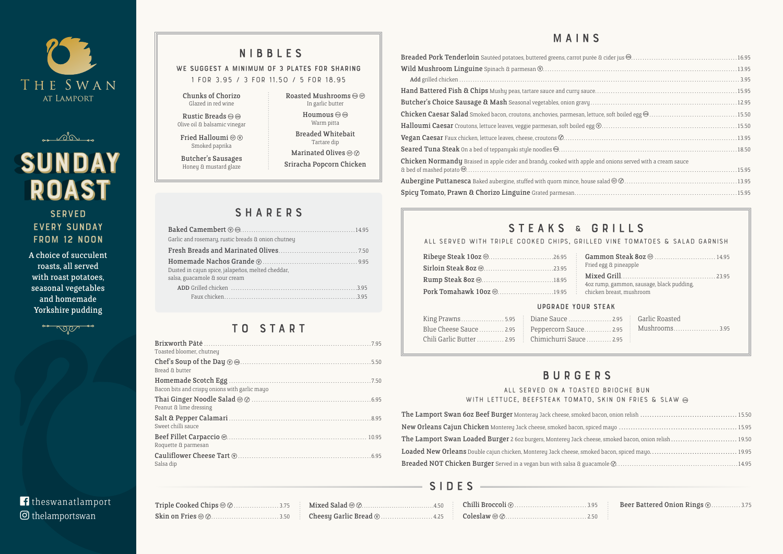



# SUNDAY **ROAST**

### **SERVED** every Sunday FROM 12 NOON

| Triple Cooked Chips @ @3.75 |  |
|-----------------------------|--|
|                             |  |

| e and onions served with a cream sauce |  |
|----------------------------------------|--|
|                                        |  |
|                                        |  |
|                                        |  |

|  | ED VINE TOMATOES & SALAD GARNISH. |  |  |
|--|-----------------------------------|--|--|
|  |                                   |  |  |

| ese, smoked bacon, onion relish  19.50 |  |
|----------------------------------------|--|
|                                        |  |
|                                        |  |
|                                        |  |

|         | .95 <b>Beer Battered Onion Rings W. </b> 3.75 |
|---------|-----------------------------------------------|
| $.50$ : |                                               |

# T O S T A R T

### WE SUGGEST A MINIMUM OF 3 PLATES FOR SHARING **1 for 3.95 / 3 for 11.50 / 5 for 18.95**

Rustic Breads (62) (FA) Olive oil & balsamic vinegar

Fried Halloumi @  $\circledcirc$ Smoked paprika

Roasted Mushrooms  $\circledcirc$   $\circledcirc$ In garlic butter Houmous  $\circledcirc$ Warm pitta Breaded Whitebait Tartare dip Marinated Olives @  $\otimes$ Sriracha Popcorn Chicken

| Toasted bloomer, chutney                      |  |
|-----------------------------------------------|--|
| Bread & butter                                |  |
| Bacon bits and crispy onions with garlic mayo |  |
| Peanut & lime dressing                        |  |
| Sweet chilli sauce                            |  |
| Roquette & parmesan                           |  |
| Salsa dip                                     |  |

## MAINS Breaded Pork Tenderloin Sautéed potatoes, buttered greens, carrot pure Wild Mushroom Linguine Spinach & parmesan  $\circledR$ ..................... Add grilled chicken . . . . . . . . . . . . . . . . . . . . . . . . . . . . . . . . . . . . . . . . . . . . . . . . . . . . . . . . . . . . . . . . . . . . . . . . . . . . . . . . . . . . . . . . . . . . . . . . . . . . . . . . . . . . . . . . . . . . . . . . . . . . 3.95 Hand Battered Fish & Chips Mushy peas, tartare sauce and curry sauc Butcher's Choice Sausage & Mash Seasonal vegetables, onion gravy Chicken Caesar Salad Smoked bacon, croutons, anchovies, parmesan, let Halloumi Caesar Croutons, lettuce leaves, veggie parmesan, soft boiled eg

Vegan Caesar Faux chicken, lettuce leaves, cheese, croutons  $\mathcal{O}$ ...........

Seared Tuna Steak On a bed of teppanyaki style noodles  $\textcircled{3}$ ..............

Chicken Normandy Braised in apple cider and brandy, cooked with apple & bed of mashed potato........................................................................................................................15.95 Aubergine Puttanesca Baked aubergine, stuffed with quorn mince, hous

Spicy Tomato, Prawn & Chorizo Linguine Grated parmesan.......

# STEAKS & GRILLS

### ALL SERVED WITH TRIPLE COOKED CHIPS, GRILL

# NIBBLES

Chunks of Chorizo Glazed in red wine

Butcher's Sausages Honey & mustard glaze

# **SHARERS**

# BURGERS

### **All served on a toasted brioche bun with lettuce, beefsteak tomato, skin on fries & slaw**

The Lamport Swan 6oz Beef Burger Monteray Jack cheese, smoked New Orleans Cajun Chicken Monterey Jack cheese, smoked bacon, spi The Lamport Swan Loaded Burger 2 6oz burgers, Monterey Jack che Loaded New Orleans Double cajun chicken, Monterey Jack cheese, smol Breaded NOT Chicken Burger Served in a vegan bun with salsa & gua

# f theswanatlamport thelamportswan

| Garlic and rosemary, rustic breads & onion chutney                                 |
|------------------------------------------------------------------------------------|
|                                                                                    |
| Dusted in cajun spice, jalapeños, melted cheddar,<br>salsa, guacamole & sour cream |
|                                                                                    |

|                                                    | Gammon Steak 80z <sup>@</sup> 14.95       |
|----------------------------------------------------|-------------------------------------------|
|                                                    | Fried egg & pineapple                     |
|                                                    | 4oz rump, gammon, sausage, black pudding, |
| Pork Tomahawk 10oz @19.95 chicken breast, mushroom |                                           |

### Upgrade your steak

|  |                                                   | Blue Cheese Sauce  2.95<br>Peppercorn Sauce  2.95<br>Mushrooms 3.95 |
|--|---------------------------------------------------|---------------------------------------------------------------------|
|  | Chili Garlic Butter  2.95 Chimichurri Sauce  2.95 |                                                                     |

A choice of succulent roasts, all served with roast potatoes, seasonal vegetables and homemade Yorkshire pudding



# S I D E S